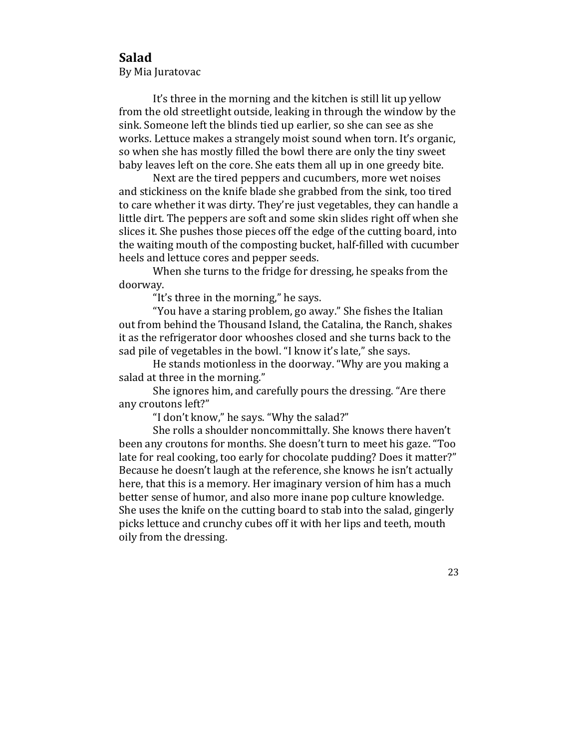## **Salad**

By Mia Juratovac

It's three in the morning and the kitchen is still lit up yellow from the old streetlight outside, leaking in through the window by the sink. Someone left the blinds tied up earlier, so she can see as she works. Lettuce makes a strangely moist sound when torn. It's organic, so when she has mostly filled the bowl there are only the tiny sweet baby leaves left on the core. She eats them all up in one greedy bite.

Next are the tired peppers and cucumbers, more wet noises and stickiness on the knife blade she grabbed from the sink, too tired to care whether it was dirty. They're just vegetables, they can handle a little dirt. The peppers are soft and some skin slides right off when she slices it. She pushes those pieces off the edge of the cutting board, into the waiting mouth of the composting bucket, half-filled with cucumber heels and lettuce cores and pepper seeds.

When she turns to the fridge for dressing, he speaks from the doorway.

"It's three in the morning," he says.

"You have a staring problem, go away." She fishes the Italian out from behind the Thousand Island, the Catalina, the Ranch, shakes it as the refrigerator door whooshes closed and she turns back to the sad pile of vegetables in the bowl. "I know it's late," she says.

He stands motionless in the doorway. "Why are you making a salad at three in the morning."

She ignores him, and carefully pours the dressing. "Are there any croutons left?"

"I don't know," he says. "Why the salad?"

She rolls a shoulder noncommittally. She knows there haven't been any croutons for months. She doesn't turn to meet his gaze. "Too late for real cooking, too early for chocolate pudding? Does it matter?" Because he doesn't laugh at the reference, she knows he isn't actually here, that this is a memory. Her imaginary version of him has a much better sense of humor, and also more inane pop culture knowledge. She uses the knife on the cutting board to stab into the salad, gingerly picks lettuce and crunchy cubes off it with her lips and teeth, mouth oily from the dressing.

23